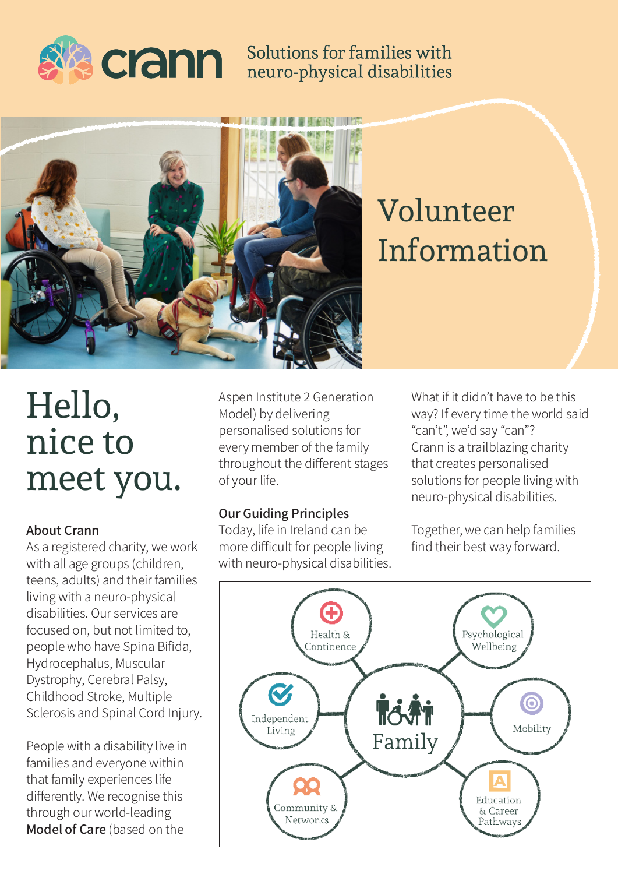

## Solutions for families with neuro-physical disabilities



## Volunteer Information

# Hello, nice to meet you.

#### About Crann

As a registered charity, we work with all age groups (children, teens, adults) and their families living with a neuro-physical disabilities. Our services are focused on, but not limited to, people who have Spina Bifida, Hydrocephalus, Muscular Dystrophy, Cerebral Palsy, Childhood Stroke, Multiple Sclerosis and Spinal Cord Injury.

People with a disability live in families and everyone within that family experiences life differently. We recognise this through our world-leading Model of Care (based on the

Aspen Institute 2 Generation Model) by delivering personalised solutions for every member of the family throughout the different stages of your life.

#### Our Guiding Principles

Today, life in Ireland can be more difficult for people living with neuro-physical disabilities. What if it didn't have to be this way? If every time the world said "can't", we'd say "can"? Crann is a trailblazing charity that creates personalised solutions for people living with neuro-physical disabilities.

Together, we can help families find their best way forward.

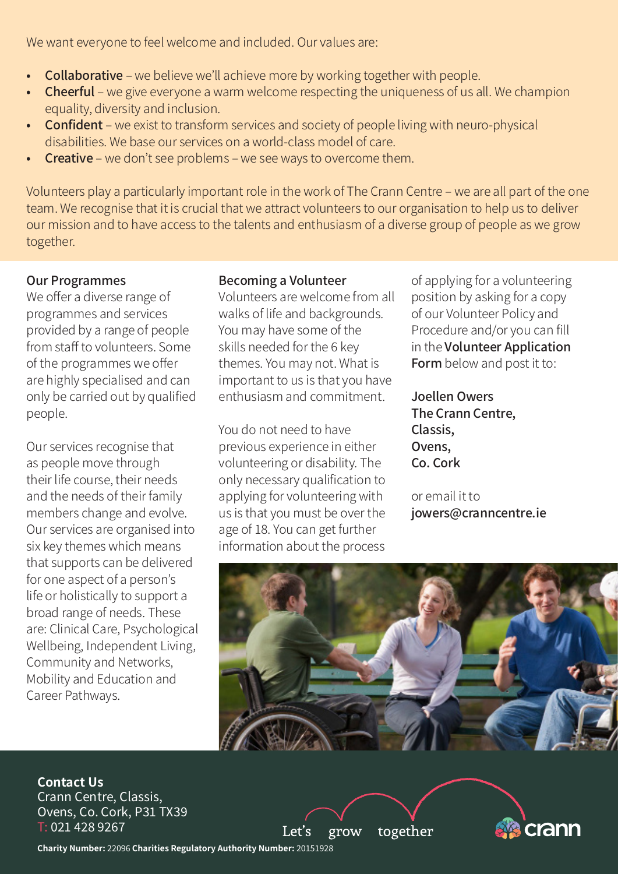We want everyone to feel welcome and included. Our values are:

- Collaborative we believe we'll achieve more by working together with people.
- Cheerful we give everyone a warm welcome respecting the uniqueness of us all. We champion equality, diversity and inclusion.
- Confident we exist to transform services and society of people living with neuro-physical disabilities. We base our services on a world-class model of care.
- Creative we don't see problems we see ways to overcome them.

Volunteers play a particularly important role in the work of The Crann Centre – we are all part of the one team. We recognise that it is crucial that we attract volunteers to our organisation to help us to deliver our mission and to have access to the talents and enthusiasm of a diverse group of people as we grow together.

#### Our Programmes

We offer a diverse range of programmes and services provided by a range of people from staff to volunteers. Some of the programmes we offer are highly specialised and can only be carried out by qualified people.

Our services recognise that as people move through their life course, their needs and the needs of their family members change and evolve. Our services are organised into six key themes which means that supports can be delivered for one aspect of a person's life or holistically to support a broad range of needs. These are: Clinical Care, Psychological Wellbeing, Independent Living, Community and Networks, Mobility and Education and Career Pathways.

#### Becoming a Volunteer

Volunteers are welcome from all walks of life and backgrounds. You may have some of the skills needed for the 6 key themes. You may not. What is important to us is that you have enthusiasm and commitment.

You do not need to have previous experience in either volunteering or disability. The only necessary qualification to applying for volunteering with us is that you must be over the age of 18. You can get further information about the process

of applying for a volunteering position by asking for a copy of our Volunteer Policy and Procedure and/or you can fill in the Volunteer Application Form below and post it to:

Joellen Owers The Crann Centre, Classis, Ovens, Co. Cork

or email it to jowers@cranncentre.ie

crann



together

grow

Let's

**Contact Us** Crann Centre, Classis, Ovens, Co. Cork, P31 TX39 T: 021 428 9267

**Charity Number:** 22096 **Charities Regulatory Authority Number:** 20151928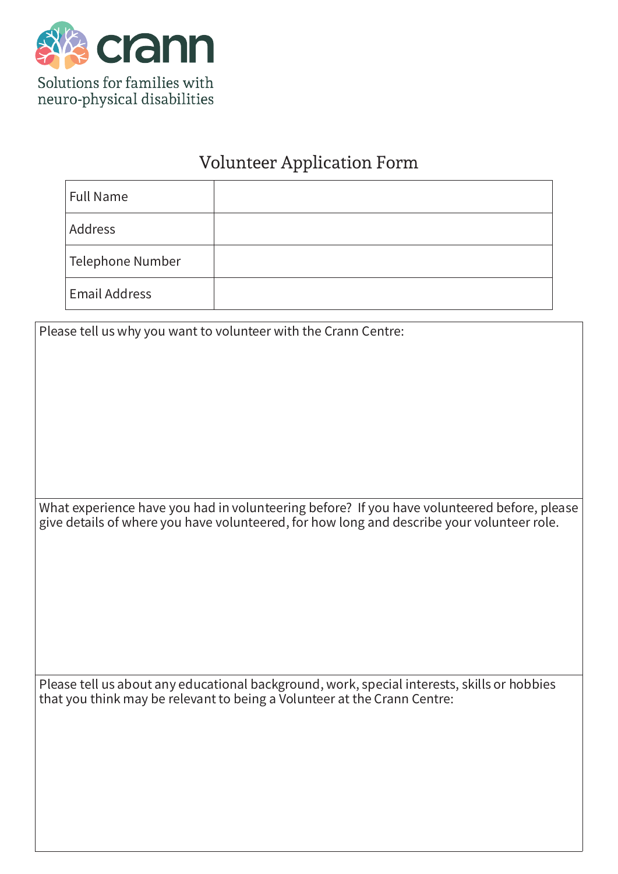

### Volunteer Application Form

| <b>Full Name</b>     |  |
|----------------------|--|
| Address              |  |
| Telephone Number     |  |
| <b>Email Address</b> |  |

Please tell us why you want to volunteer with the Crann Centre:

What experience have you had in volunteering before? If you have volunteered before, please give details of where you have volunteered, for how long and describe your volunteer role.

Please tell us about any educational background, work, special interests, skills or hobbies that you think may be relevant to being a Volunteer at the Crann Centre: